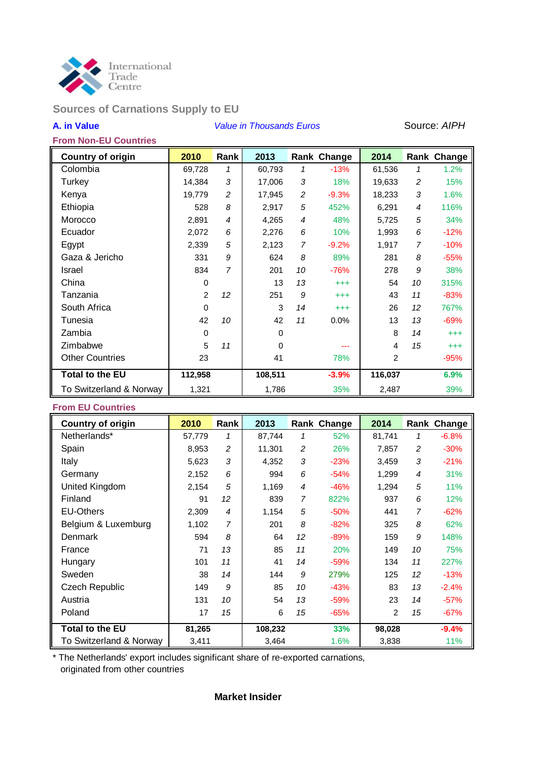

# **Sources of Carnations Supply to EU**

#### **A. in Value** *Value in Thousands Euros* Source: *AIPH*

| <b>From Non-EU Countries</b> |  |
|------------------------------|--|
|------------------------------|--|

| <b>Country of origin</b> | 2010           | Rank           | 2013    |                | Rank Change | 2014    |                | Rank Change |
|--------------------------|----------------|----------------|---------|----------------|-------------|---------|----------------|-------------|
| Colombia                 | 69,728         | 1              | 60,793  | 1              | $-13%$      | 61,536  | 1              | 1.2%        |
| Turkey                   | 14,384         | 3              | 17,006  | 3              | 18%         | 19,633  | $\overline{c}$ | 15%         |
| Kenya                    | 19,779         | $\overline{c}$ | 17,945  | $\overline{c}$ | $-9.3%$     | 18,233  | 3              | 1.6%        |
| Ethiopia                 | 528            | 8              | 2,917   | 5              | 452%        | 6,291   | 4              | 116%        |
| Morocco                  | 2,891          | $\overline{4}$ | 4,265   | 4              | 48%         | 5,725   | 5              | 34%         |
| Ecuador                  | 2,072          | 6              | 2,276   | 6              | 10%         | 1,993   | 6              | $-12%$      |
| Egypt                    | 2,339          | 5              | 2,123   | 7              | $-9.2%$     | 1,917   | $\overline{7}$ | $-10%$      |
| Gaza & Jericho           | 331            | 9              | 624     | 8              | 89%         | 281     | 8              | $-55%$      |
| Israel                   | 834            | 7              | 201     | 10             | $-76%$      | 278     | 9              | 38%         |
| China                    | 0              |                | 13      | 13             | $^{+++}$    | 54      | 10             | 315%        |
| Tanzania                 | $\overline{2}$ | 12             | 251     | 9              | $^{+++}$    | 43      | 11             | $-83%$      |
| South Africa             | $\mathbf 0$    |                | 3       | 14             | $^{+++}$    | 26      | 12             | 767%        |
| Tunesia                  | 42             | 10             | 42      | 11             | 0.0%        | 13      | 13             | $-69%$      |
| Zambia                   | $\Omega$       |                | 0       |                |             | 8       | 14             | $^{+++}$    |
| Zimbabwe                 | 5              | 11             | 0       |                |             | 4       | 15             | $^{+++}$    |
| <b>Other Countries</b>   | 23             |                | 41      |                | 78%         | 2       |                | $-95%$      |
| <b>Total to the EU</b>   | 112,958        |                | 108,511 |                | $-3.9%$     | 116,037 |                | 6.9%        |
| To Switzerland & Norway  | 1,321          |                | 1,786   |                | 35%         | 2,487   |                | 39%         |

#### **From EU Countries**

| <b>Country of origin</b> | 2010   | Rank           | 2013    |    | Rank Change | 2014   |    | Rank Change |
|--------------------------|--------|----------------|---------|----|-------------|--------|----|-------------|
| Netherlands*             | 57,779 | 1              | 87,744  | 1  | 52%         | 81,741 | 1  | $-6.8%$     |
| Spain                    | 8,953  | $\overline{c}$ | 11,301  | 2  | 26%         | 7,857  | 2  | $-30%$      |
| Italy                    | 5,623  | 3              | 4,352   | 3  | $-23%$      | 3,459  | 3  | $-21%$      |
| Germany                  | 2,152  | 6              | 994     | 6  | $-54%$      | 1,299  | 4  | 31%         |
| United Kingdom           | 2,154  | 5              | 1,169   | 4  | $-46%$      | 1,294  | 5  | 11%         |
| Finland                  | 91     | 12             | 839     | 7  | 822%        | 937    | 6  | 12%         |
| <b>EU-Others</b>         | 2,309  | $\overline{4}$ | 1,154   | 5  | $-50%$      | 441    | 7  | $-62%$      |
| Belgium & Luxemburg      | 1,102  | 7              | 201     | 8  | $-82%$      | 325    | 8  | 62%         |
| Denmark                  | 594    | 8              | 64      | 12 | $-89%$      | 159    | 9  | 148%        |
| France                   | 71     | 13             | 85      | 11 | 20%         | 149    | 10 | 75%         |
| Hungary                  | 101    | 11             | 41      | 14 | $-59%$      | 134    | 11 | 227%        |
| Sweden                   | 38     | 14             | 144     | 9  | 279%        | 125    | 12 | $-13%$      |
| Czech Republic           | 149    | 9              | 85      | 10 | $-43%$      | 83     | 13 | $-2.4%$     |
| Austria                  | 131    | 10             | 54      | 13 | $-59%$      | 23     | 14 | $-57%$      |
| Poland                   | 17     | 15             | 6       | 15 | $-65%$      | 2      | 15 | $-67%$      |
| <b>Total to the EU</b>   | 81,265 |                | 108,232 |    | 33%         | 98,028 |    | $-9.4%$     |
| To Switzerland & Norway  | 3,411  |                | 3,464   |    | 1.6%        | 3,838  |    | 11%         |

\* The Netherlands' export includes significant share of re-exported carnations, originated from other countries

#### **Market Insider**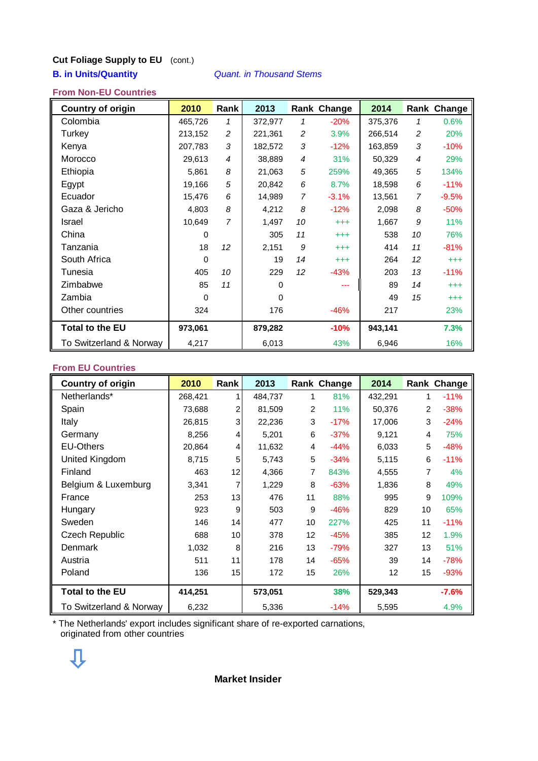# **Cut Foliage Supply to EU** (cont.)

### **B. in Units/Quantity** *Quant. in Thousand Stems*

#### **From Non-EU Countries**

| <b>Country of origin</b> | 2010     | Rank           | 2013     |    | Rank Change | 2014    |                | Rank Change |
|--------------------------|----------|----------------|----------|----|-------------|---------|----------------|-------------|
| Colombia                 | 465,726  | 1              | 372,977  | 1  | $-20%$      | 375,376 | 1              | 0.6%        |
| Turkey                   | 213,152  | $\overline{c}$ | 221,361  | 2  | 3.9%        | 266,514 | 2              | 20%         |
| Kenya                    | 207,783  | 3              | 182,572  | 3  | $-12%$      | 163,859 | 3              | $-10%$      |
| Morocco                  | 29,613   | $\overline{4}$ | 38,889   | 4  | 31%         | 50,329  | $\overline{4}$ | 29%         |
| Ethiopia                 | 5,861    | 8              | 21,063   | 5  | 259%        | 49,365  | 5              | 134%        |
| Egypt                    | 19,166   | 5              | 20,842   | 6  | 8.7%        | 18,598  | 6              | $-11%$      |
| Ecuador                  | 15,476   | 6              | 14,989   | 7  | $-3.1%$     | 13,561  | $\overline{7}$ | $-9.5%$     |
| Gaza & Jericho           | 4,803    | 8              | 4,212    | 8  | $-12%$      | 2,098   | 8              | $-50%$      |
| Israel                   | 10,649   | 7              | 1,497    | 10 | $^{+++}$    | 1,667   | 9              | 11%         |
| China                    | $\Omega$ |                | 305      | 11 | $^{+++}$    | 538     | 10             | 76%         |
| Tanzania                 | 18       | 12             | 2,151    | 9  | $^{+++}$    | 414     | 11             | $-81%$      |
| South Africa             | 0        |                | 19       | 14 | $^{+++}$    | 264     | 12             | $^{+++}$    |
| Tunesia                  | 405      | 10             | 229      | 12 | $-43%$      | 203     | 13             | $-11%$      |
| Zimbabwe                 | 85       | 11             | $\Omega$ |    |             | 89      | 14             | $^{+++}$    |
| Zambia                   | $\Omega$ |                | 0        |    |             | 49      | 15             | $^{+++}$    |
| Other countries          | 324      |                | 176      |    | $-46%$      | 217     |                | 23%         |
| <b>Total to the EU</b>   | 973,061  |                | 879,282  |    | $-10%$      | 943,141 |                | 7.3%        |
| To Switzerland & Norway  | 4,217    |                | 6,013    |    | 43%         | 6,946   |                | 16%         |

### **From EU Countries**

| <b>Country of origin</b> | 2010    | Rank           | 2013    |    | Rank Change | 2014    |    | Rank Change |
|--------------------------|---------|----------------|---------|----|-------------|---------|----|-------------|
| Netherlands*             | 268,421 |                | 484,737 | 1  | 81%         | 432,291 | 1  | $-11%$      |
| Spain                    | 73,688  | $\overline{c}$ | 81,509  | 2  | 11%         | 50,376  | 2  | $-38%$      |
| Italy                    | 26,815  | 3              | 22,236  | 3  | $-17%$      | 17,006  | 3  | $-24%$      |
| Germany                  | 8,256   | 4              | 5,201   | 6  | $-37%$      | 9,121   | 4  | 75%         |
| <b>EU-Others</b>         | 20,864  | 4              | 11,632  | 4  | $-44%$      | 6,033   | 5  | $-48%$      |
| United Kingdom           | 8,715   | 5              | 5,743   | 5  | $-34%$      | 5,115   | 6  | $-11%$      |
| Finland                  | 463     | 12             | 4,366   | 7  | 843%        | 4,555   | 7  | 4%          |
| Belgium & Luxemburg      | 3,341   | 7              | 1,229   | 8  | $-63%$      | 1,836   | 8  | 49%         |
| France                   | 253     | 13             | 476     | 11 | 88%         | 995     | 9  | 109%        |
| Hungary                  | 923     | 9              | 503     | 9  | $-46%$      | 829     | 10 | 65%         |
| Sweden                   | 146     | 14             | 477     | 10 | 227%        | 425     | 11 | $-11%$      |
| <b>Czech Republic</b>    | 688     | 10             | 378     | 12 | $-45%$      | 385     | 12 | 1.9%        |
| <b>Denmark</b>           | 1,032   | 8              | 216     | 13 | $-79%$      | 327     | 13 | 51%         |
| Austria                  | 511     | 11             | 178     | 14 | $-65%$      | 39      | 14 | $-78%$      |
| Poland                   | 136     | 15             | 172     | 15 | 26%         | 12      | 15 | $-93%$      |
| <b>Total to the EU</b>   | 414,251 |                | 573,051 |    | 38%         | 529,343 |    | $-7.6%$     |
| To Switzerland & Norway  | 6,232   |                | 5,336   |    | $-14%$      | 5,595   |    | 4.9%        |

\* The Netherlands' export includes significant share of re-exported carnations, originated from other countries

## **Market Insider**